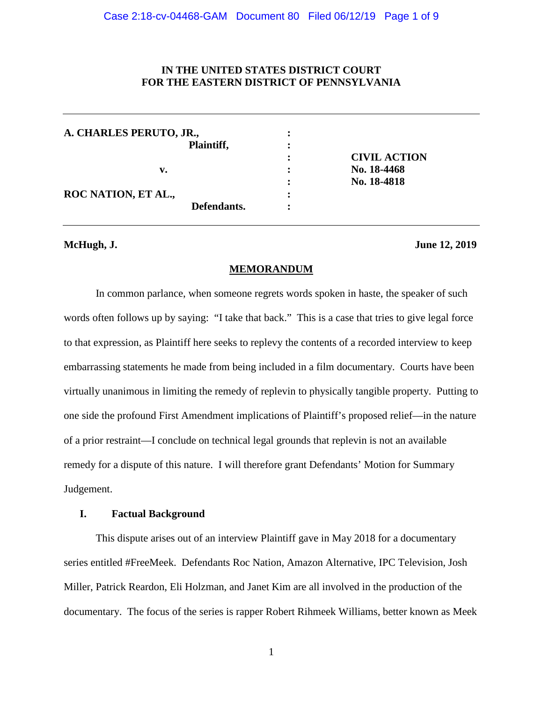# **IN THE UNITED STATES DISTRICT COURT FOR THE EASTERN DISTRICT OF PENNSYLVANIA**

| A. CHARLES PERUTO, JR., |             |                |                     |
|-------------------------|-------------|----------------|---------------------|
|                         | Plaintiff,  | ٠              |                     |
|                         |             | ٠<br>$\bullet$ | <b>CIVIL ACTION</b> |
| v.                      |             |                | No. 18-4468         |
|                         |             | ٠              | No. 18-4818         |
| ROC NATION, ET AL.,     |             | $\bullet$      |                     |
|                         | Defendants. | ٠              |                     |

### **McHugh, J. June 12, 2019**

# **MEMORANDUM**

In common parlance, when someone regrets words spoken in haste, the speaker of such words often follows up by saying: "I take that back." This is a case that tries to give legal force to that expression, as Plaintiff here seeks to replevy the contents of a recorded interview to keep embarrassing statements he made from being included in a film documentary. Courts have been virtually unanimous in limiting the remedy of replevin to physically tangible property. Putting to one side the profound First Amendment implications of Plaintiff's proposed relief—in the nature of a prior restraint—I conclude on technical legal grounds that replevin is not an available remedy for a dispute of this nature. I will therefore grant Defendants' Motion for Summary Judgement.

# **I. Factual Background**

This dispute arises out of an interview Plaintiff gave in May 2018 for a documentary series entitled #FreeMeek. Defendants Roc Nation, Amazon Alternative, IPC Television, Josh Miller, Patrick Reardon, Eli Holzman, and Janet Kim are all involved in the production of the documentary. The focus of the series is rapper Robert Rihmeek Williams, better known as Meek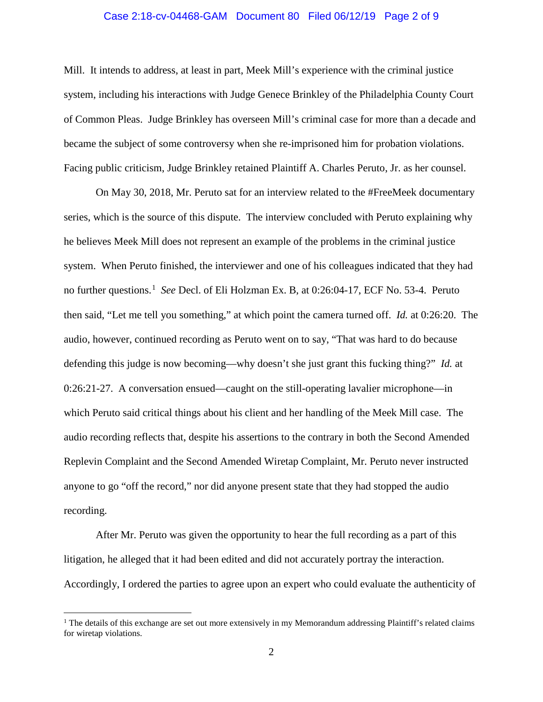# Case 2:18-cv-04468-GAM Document 80 Filed 06/12/19 Page 2 of 9

Mill. It intends to address, at least in part, Meek Mill's experience with the criminal justice system, including his interactions with Judge Genece Brinkley of the Philadelphia County Court of Common Pleas. Judge Brinkley has overseen Mill's criminal case for more than a decade and became the subject of some controversy when she re-imprisoned him for probation violations. Facing public criticism, Judge Brinkley retained Plaintiff A. Charles Peruto, Jr. as her counsel.

On May 30, 2018, Mr. Peruto sat for an interview related to the #FreeMeek documentary series, which is the source of this dispute. The interview concluded with Peruto explaining why he believes Meek Mill does not represent an example of the problems in the criminal justice system. When Peruto finished, the interviewer and one of his colleagues indicated that they had no further questions.[1](#page-1-0) *See* Decl. of Eli Holzman Ex. B, at 0:26:04-17, ECF No. 53-4. Peruto then said, "Let me tell you something," at which point the camera turned off. *Id.* at 0:26:20. The audio, however, continued recording as Peruto went on to say, "That was hard to do because defending this judge is now becoming—why doesn't she just grant this fucking thing?" *Id.* at 0:26:21-27. A conversation ensued—caught on the still-operating lavalier microphone—in which Peruto said critical things about his client and her handling of the Meek Mill case. The audio recording reflects that, despite his assertions to the contrary in both the Second Amended Replevin Complaint and the Second Amended Wiretap Complaint, Mr. Peruto never instructed anyone to go "off the record," nor did anyone present state that they had stopped the audio recording.

After Mr. Peruto was given the opportunity to hear the full recording as a part of this litigation, he alleged that it had been edited and did not accurately portray the interaction. Accordingly, I ordered the parties to agree upon an expert who could evaluate the authenticity of

<span id="page-1-0"></span> $<sup>1</sup>$  The details of this exchange are set out more extensively in my Memorandum addressing Plaintiff's related claims</sup> for wiretap violations.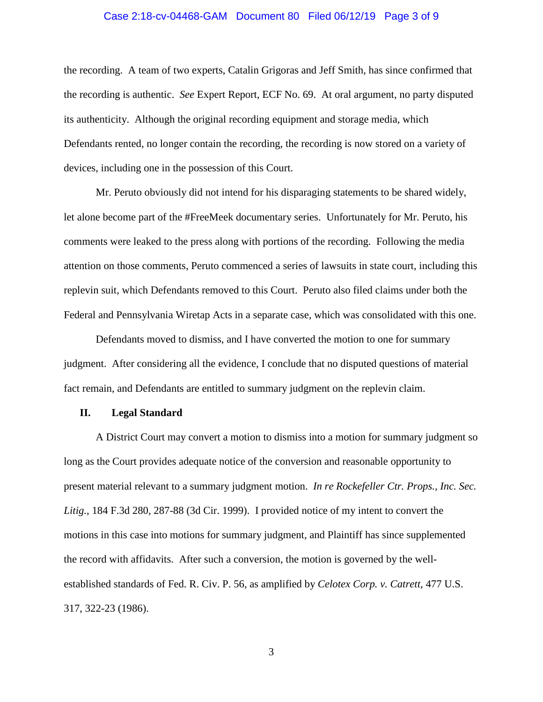# Case 2:18-cv-04468-GAM Document 80 Filed 06/12/19 Page 3 of 9

the recording. A team of two experts, Catalin Grigoras and Jeff Smith, has since confirmed that the recording is authentic. *See* Expert Report, ECF No. 69. At oral argument, no party disputed its authenticity. Although the original recording equipment and storage media, which Defendants rented, no longer contain the recording, the recording is now stored on a variety of devices, including one in the possession of this Court.

Mr. Peruto obviously did not intend for his disparaging statements to be shared widely, let alone become part of the #FreeMeek documentary series. Unfortunately for Mr. Peruto, his comments were leaked to the press along with portions of the recording. Following the media attention on those comments, Peruto commenced a series of lawsuits in state court, including this replevin suit, which Defendants removed to this Court. Peruto also filed claims under both the Federal and Pennsylvania Wiretap Acts in a separate case, which was consolidated with this one.

Defendants moved to dismiss, and I have converted the motion to one for summary judgment. After considering all the evidence, I conclude that no disputed questions of material fact remain, and Defendants are entitled to summary judgment on the replevin claim.

### **II. Legal Standard**

A District Court may convert a motion to dismiss into a motion for summary judgment so long as the Court provides adequate notice of the conversion and reasonable opportunity to present material relevant to a summary judgment motion. *In re Rockefeller Ctr. Props., Inc. Sec. Litig.*, 184 F.3d 280, 287-88 (3d Cir. 1999). I provided notice of my intent to convert the motions in this case into motions for summary judgment, and Plaintiff has since supplemented the record with affidavits. After such a conversion, the motion is governed by the wellestablished standards of Fed. R. Civ. P. 56, as amplified by *Celotex Corp. v. Catrett*, 477 U.S. 317, 322-23 (1986).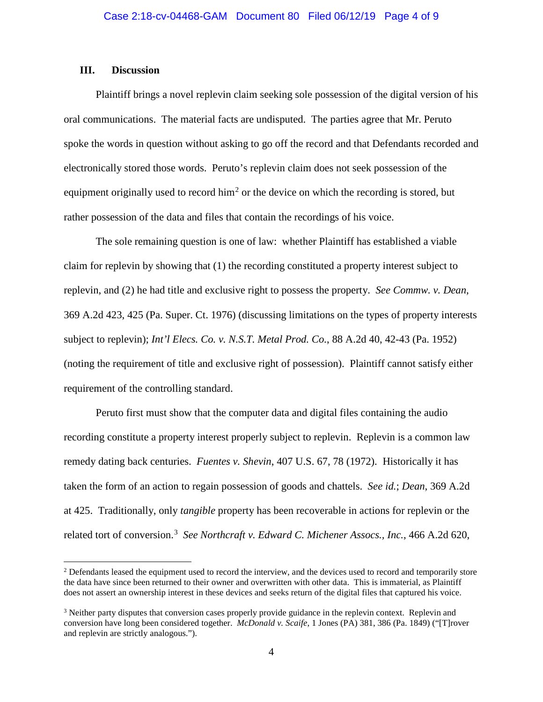# **III. Discussion**

Plaintiff brings a novel replevin claim seeking sole possession of the digital version of his oral communications. The material facts are undisputed. The parties agree that Mr. Peruto spoke the words in question without asking to go off the record and that Defendants recorded and electronically stored those words. Peruto's replevin claim does not seek possession of the equipment originally used to record  $\lim^2$  $\lim^2$  or the device on which the recording is stored, but rather possession of the data and files that contain the recordings of his voice.

The sole remaining question is one of law: whether Plaintiff has established a viable claim for replevin by showing that (1) the recording constituted a property interest subject to replevin, and (2) he had title and exclusive right to possess the property. *See Commw. v. Dean*, 369 A.2d 423, 425 (Pa. Super. Ct. 1976) (discussing limitations on the types of property interests subject to replevin); *Int'l Elecs. Co. v. N.S.T. Metal Prod. Co.*, 88 A.2d 40, 42-43 (Pa. 1952) (noting the requirement of title and exclusive right of possession). Plaintiff cannot satisfy either requirement of the controlling standard.

Peruto first must show that the computer data and digital files containing the audio recording constitute a property interest properly subject to replevin. Replevin is a common law remedy dating back centuries. *Fuentes v. Shevin*, 407 U.S. 67, 78 (1972). Historically it has taken the form of an action to regain possession of goods and chattels. *See id.*; *Dean*, 369 A.2d at 425. Traditionally, only *tangible* property has been recoverable in actions for replevin or the related tort of conversion. [3](#page-3-1) *See Northcraft v. Edward C. Michener Assocs., Inc.*, 466 A.2d 620,

<span id="page-3-0"></span><sup>&</sup>lt;sup>2</sup> Defendants leased the equipment used to record the interview, and the devices used to record and temporarily store the data have since been returned to their owner and overwritten with other data. This is immaterial, as Plaintiff does not assert an ownership interest in these devices and seeks return of the digital files that captured his voice.

<span id="page-3-1"></span><sup>&</sup>lt;sup>3</sup> Neither party disputes that conversion cases properly provide guidance in the replevin context. Replevin and conversion have long been considered together. *McDonald v. Scaife*, 1 Jones (PA) 381, 386 (Pa. 1849) ("[T]rover and replevin are strictly analogous.").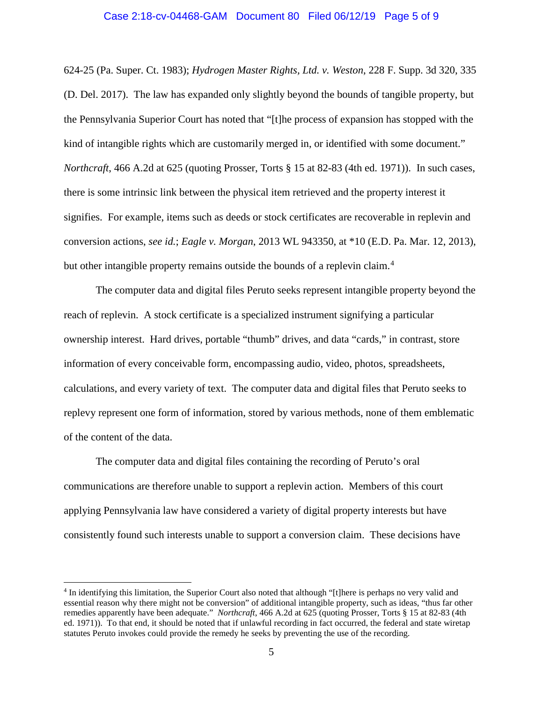# Case 2:18-cv-04468-GAM Document 80 Filed 06/12/19 Page 5 of 9

624-25 (Pa. Super. Ct. 1983); *Hydrogen Master Rights, Ltd. v. Weston*, 228 F. Supp. 3d 320, 335 (D. Del. 2017). The law has expanded only slightly beyond the bounds of tangible property, but the Pennsylvania Superior Court has noted that "[t]he process of expansion has stopped with the kind of intangible rights which are customarily merged in, or identified with some document." *Northcraft*, 466 A.2d at 625 (quoting Prosser, Torts § 15 at 82-83 (4th ed. 1971)). In such cases, there is some intrinsic link between the physical item retrieved and the property interest it signifies. For example, items such as deeds or stock certificates are recoverable in replevin and conversion actions, *see id.*; *Eagle v. Morgan*, 2013 WL 943350, at \*10 (E.D. Pa. Mar. 12, 2013), but other intangible property remains outside the bounds of a replevin claim.<sup>[4](#page-4-0)</sup>

The computer data and digital files Peruto seeks represent intangible property beyond the reach of replevin. A stock certificate is a specialized instrument signifying a particular ownership interest. Hard drives, portable "thumb" drives, and data "cards," in contrast, store information of every conceivable form, encompassing audio, video, photos, spreadsheets, calculations, and every variety of text. The computer data and digital files that Peruto seeks to replevy represent one form of information, stored by various methods, none of them emblematic of the content of the data.

The computer data and digital files containing the recording of Peruto's oral communications are therefore unable to support a replevin action. Members of this court applying Pennsylvania law have considered a variety of digital property interests but have consistently found such interests unable to support a conversion claim. These decisions have

<span id="page-4-0"></span> <sup>4</sup> In identifying this limitation, the Superior Court also noted that although "[t]here is perhaps no very valid and essential reason why there might not be conversion" of additional intangible property, such as ideas, "thus far other remedies apparently have been adequate." *Northcraft*, 466 A.2d at 625 (quoting Prosser, Torts § 15 at 82-83 (4th ed. 1971)). To that end, it should be noted that if unlawful recording in fact occurred, the federal and state wiretap statutes Peruto invokes could provide the remedy he seeks by preventing the use of the recording.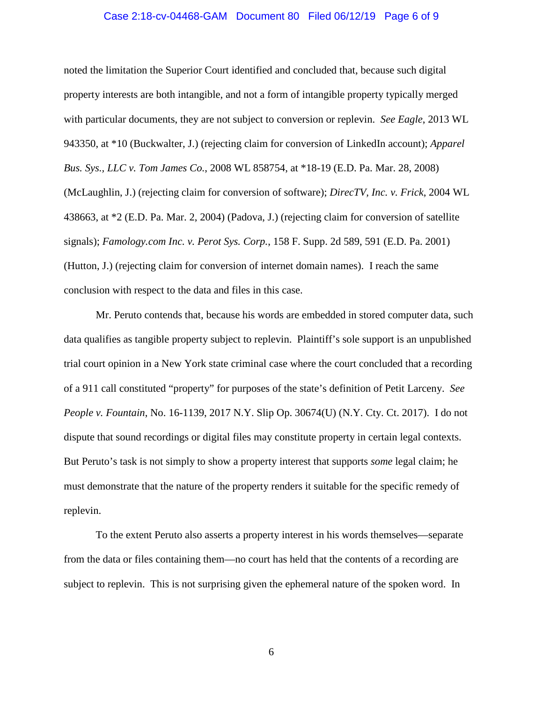# Case 2:18-cv-04468-GAM Document 80 Filed 06/12/19 Page 6 of 9

noted the limitation the Superior Court identified and concluded that, because such digital property interests are both intangible, and not a form of intangible property typically merged with particular documents, they are not subject to conversion or replevin. *See Eagle*, 2013 WL 943350, at \*10 (Buckwalter, J.) (rejecting claim for conversion of LinkedIn account); *Apparel Bus. Sys., LLC v. Tom James Co.*, 2008 WL 858754, at \*18-19 (E.D. Pa. Mar. 28, 2008) (McLaughlin, J.) (rejecting claim for conversion of software); *DirecTV, Inc. v. Frick*, 2004 WL 438663, at \*2 (E.D. Pa. Mar. 2, 2004) (Padova, J.) (rejecting claim for conversion of satellite signals); *Famology.com Inc. v. Perot Sys. Corp.*, 158 F. Supp. 2d 589, 591 (E.D. Pa. 2001) (Hutton, J.) (rejecting claim for conversion of internet domain names). I reach the same conclusion with respect to the data and files in this case.

Mr. Peruto contends that, because his words are embedded in stored computer data, such data qualifies as tangible property subject to replevin. Plaintiff's sole support is an unpublished trial court opinion in a New York state criminal case where the court concluded that a recording of a 911 call constituted "property" for purposes of the state's definition of Petit Larceny. *See People v. Fountain*, No. 16-1139, 2017 N.Y. Slip Op. 30674(U) (N.Y. Cty. Ct. 2017). I do not dispute that sound recordings or digital files may constitute property in certain legal contexts. But Peruto's task is not simply to show a property interest that supports *some* legal claim; he must demonstrate that the nature of the property renders it suitable for the specific remedy of replevin.

To the extent Peruto also asserts a property interest in his words themselves—separate from the data or files containing them—no court has held that the contents of a recording are subject to replevin. This is not surprising given the ephemeral nature of the spoken word. In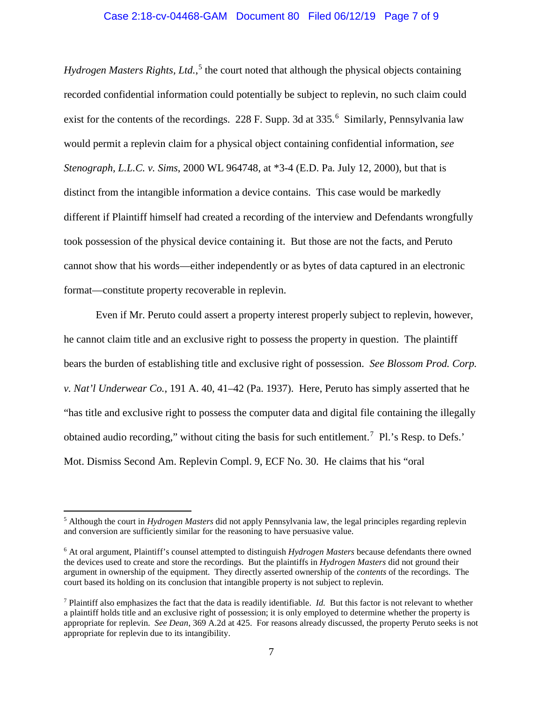# Case 2:18-cv-04468-GAM Document 80 Filed 06/12/19 Page 7 of 9

Hydrogen Masters Rights, Ltd.,<sup>[5](#page-6-0)</sup> the court noted that although the physical objects containing recorded confidential information could potentially be subject to replevin, no such claim could exist for the contents of the recordings. 228 F. Supp. 3d at 335*.* [6](#page-6-1) Similarly, Pennsylvania law would permit a replevin claim for a physical object containing confidential information, *see Stenograph, L.L.C. v. Sims*, 2000 WL 964748, at \*3-4 (E.D. Pa. July 12, 2000), but that is distinct from the intangible information a device contains. This case would be markedly different if Plaintiff himself had created a recording of the interview and Defendants wrongfully took possession of the physical device containing it. But those are not the facts, and Peruto cannot show that his words—either independently or as bytes of data captured in an electronic format—constitute property recoverable in replevin.

Even if Mr. Peruto could assert a property interest properly subject to replevin, however, he cannot claim title and an exclusive right to possess the property in question. The plaintiff bears the burden of establishing title and exclusive right of possession. *See Blossom Prod. Corp. v. Nat'l Underwear Co.*, 191 A. 40, 41–42 (Pa. 1937). Here, Peruto has simply asserted that he "has title and exclusive right to possess the computer data and digital file containing the illegally obtained audio recording," without citing the basis for such entitlement.<sup>[7](#page-6-2)</sup> Pl.'s Resp. to Defs.' Mot. Dismiss Second Am. Replevin Compl. 9, ECF No. 30. He claims that his "oral

<span id="page-6-0"></span> <sup>5</sup> Although the court in *Hydrogen Masters* did not apply Pennsylvania law, the legal principles regarding replevin and conversion are sufficiently similar for the reasoning to have persuasive value.

<span id="page-6-1"></span><sup>6</sup> At oral argument, Plaintiff's counsel attempted to distinguish *Hydrogen Masters* because defendants there owned the devices used to create and store the recordings. But the plaintiffs in *Hydrogen Masters* did not ground their argument in ownership of the equipment. They directly asserted ownership of the *contents* of the recordings. The court based its holding on its conclusion that intangible property is not subject to replevin.

<span id="page-6-2"></span><sup>7</sup> Plaintiff also emphasizes the fact that the data is readily identifiable. *Id.* But this factor is not relevant to whether a plaintiff holds title and an exclusive right of possession; it is only employed to determine whether the property is appropriate for replevin. *See Dean*, 369 A.2d at 425. For reasons already discussed, the property Peruto seeks is not appropriate for replevin due to its intangibility.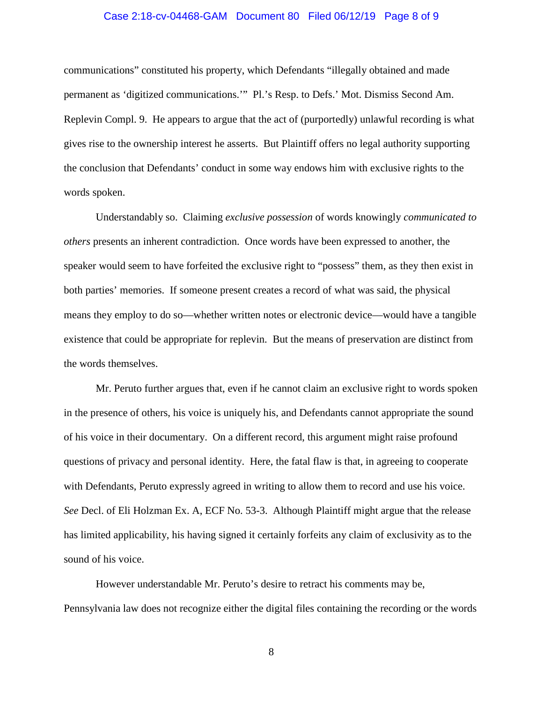# Case 2:18-cv-04468-GAM Document 80 Filed 06/12/19 Page 8 of 9

communications" constituted his property, which Defendants "illegally obtained and made permanent as 'digitized communications.'" Pl.'s Resp. to Defs.' Mot. Dismiss Second Am. Replevin Compl. 9. He appears to argue that the act of (purportedly) unlawful recording is what gives rise to the ownership interest he asserts. But Plaintiff offers no legal authority supporting the conclusion that Defendants' conduct in some way endows him with exclusive rights to the words spoken.

Understandably so. Claiming *exclusive possession* of words knowingly *communicated to others* presents an inherent contradiction. Once words have been expressed to another, the speaker would seem to have forfeited the exclusive right to "possess" them, as they then exist in both parties' memories. If someone present creates a record of what was said, the physical means they employ to do so—whether written notes or electronic device—would have a tangible existence that could be appropriate for replevin. But the means of preservation are distinct from the words themselves.

Mr. Peruto further argues that, even if he cannot claim an exclusive right to words spoken in the presence of others, his voice is uniquely his, and Defendants cannot appropriate the sound of his voice in their documentary. On a different record, this argument might raise profound questions of privacy and personal identity. Here, the fatal flaw is that, in agreeing to cooperate with Defendants, Peruto expressly agreed in writing to allow them to record and use his voice. *See* Decl. of Eli Holzman Ex. A, ECF No. 53-3. Although Plaintiff might argue that the release has limited applicability, his having signed it certainly forfeits any claim of exclusivity as to the sound of his voice.

However understandable Mr. Peruto's desire to retract his comments may be, Pennsylvania law does not recognize either the digital files containing the recording or the words